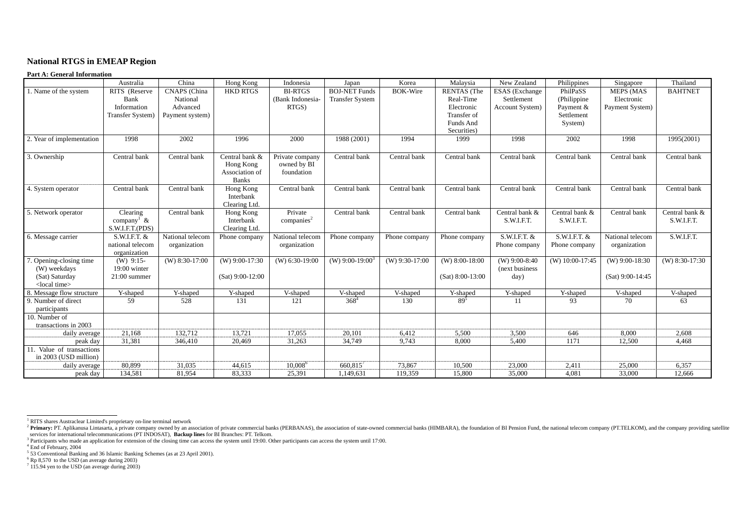# <span id="page-0-6"></span><span id="page-0-5"></span><span id="page-0-4"></span><span id="page-0-3"></span><span id="page-0-2"></span><span id="page-0-1"></span><span id="page-0-0"></span>**National RTGS in EMEAP Region**

#### **Part A: General Information**

|                                                           | Australia                                             | China                            | Hong Kong                                                     | Indonesia                                    | Japan                       | Korea            | Malaysia                               | New Zealand                                | Philippines                     | Singapore                              | Thailand                     |
|-----------------------------------------------------------|-------------------------------------------------------|----------------------------------|---------------------------------------------------------------|----------------------------------------------|-----------------------------|------------------|----------------------------------------|--------------------------------------------|---------------------------------|----------------------------------------|------------------------------|
| 1. Name of the system                                     | RITS (Reserve                                         | CNAPS (China                     | <b>HKD RTGS</b>                                               | <b>BI-RTGS</b>                               | <b>BOJ-NET Funds</b>        | <b>BOK-Wire</b>  | <b>RENTAS</b> (The                     | <b>ESAS</b> (Exchange                      | PhilPaSS                        | <b>MEPS (MAS</b>                       | <b>BAHTNET</b>               |
|                                                           | Bank                                                  | National                         |                                                               | (Bank Indonesia-                             | <b>Transfer System</b>      |                  | Real-Time                              | Settlement                                 | (Philippine                     | Electronic                             |                              |
|                                                           | Information                                           | Advanced                         |                                                               | RTGS)                                        |                             |                  | Electronic                             | Account System)                            | Payment &                       | Payment System)                        |                              |
|                                                           | Transfer System)                                      | Payment system)                  |                                                               |                                              |                             |                  | Transfer of                            |                                            | Settlement                      |                                        |                              |
|                                                           |                                                       |                                  |                                                               |                                              |                             |                  | Funds And                              |                                            | System)                         |                                        |                              |
|                                                           |                                                       |                                  |                                                               |                                              |                             |                  | Securities)                            |                                            |                                 |                                        |                              |
| 2. Year of implementation                                 | 1998                                                  | 2002                             | 1996                                                          | 2000                                         | 1988 (2001)                 | 1994             | 1999                                   | 1998                                       | 2002                            | 1998                                   | 1995(2001)                   |
| 3. Ownership                                              | Central bank                                          | Central bank                     | Central bank &<br>Hong Kong<br>Association of<br><b>Banks</b> | Private company<br>owned by BI<br>foundation | Central bank                | Central bank     | Central bank                           | Central bank                               | Central bank                    | Central bank                           | Central bank                 |
| 4. System operator                                        | Central bank                                          | Central bank                     | Hong Kong<br>Interbank<br>Clearing Ltd.                       | Central bank                                 | Central bank                | Central bank     | Central bank                           | Central bank                               | Central bank                    | Central bank                           | Central bank                 |
| 5. Network operator                                       | Clearing<br>company <sup>1</sup> &<br>S.W.I.F.T.(PDS) | Central bank                     | Hong Kong<br>Interbank<br>Clearing Ltd.                       | Private<br>companies <sup>2</sup>            | Central bank                | Central bank     | Central bank                           | Central bank &<br>S.W.I.F.T.               | Central bank &<br>S.W.I.F.T.    | Central bank                           | Central bank &<br>S.W.I.F.T. |
| 6. Message carrier                                        | S.W.I.F.T. $&$<br>national telecom<br>organization    | National telecom<br>organization | Phone company                                                 | National telecom<br>organization             | Phone company               | Phone company    | Phone company                          | S.W.I.F.T. &<br>Phone company              | $S.W.I.F.T.$ &<br>Phone company | National telecom<br>organization       | S.W.I.F.T.                   |
| 7. Opening-closing time<br>(W) weekdays<br>(Sat) Saturday | $(W)$ 9:15-<br>19:00 winter<br>$21:00$ summer         | $(W)$ 8:30-17:00                 | $(W)$ 9:00-17:30<br>$(Sat) 9:00-12:00$                        | $(W)$ 6:30-19:00                             | (W) 9:00-19:00 <sup>3</sup> | $(W)$ 9:30-17:00 | $(W)$ 8:00-18:00<br>$(Sat) 8:00-13:00$ | $(W)$ 9:00-8:40<br>(next business)<br>day) | $(W)$ 10:00-17:45               | $(W)$ 9:00-18:30<br>$(Sat) 9:00-14:45$ | $(W)$ 8:30-17:30             |
| <local time=""></local>                                   | Y-shaped                                              | Y-shaped                         | Y-shaped                                                      |                                              |                             |                  |                                        | Y-shaped                                   |                                 | V-shaped                               |                              |
| 8. Message flow structure<br>9. Number of direct          | 59                                                    | 528                              | 131                                                           | V-shaped<br>121                              | V-shaped<br>$368^{4}$       | V-shaped<br>130  | Y-shaped<br>$89^{5}$                   |                                            | Y-shaped<br>93                  | 70                                     | V-shaped<br>63               |
|                                                           |                                                       |                                  |                                                               |                                              |                             |                  |                                        | 11                                         |                                 |                                        |                              |
| participants<br>10. Number of<br>transactions in 2003     |                                                       |                                  |                                                               |                                              |                             |                  |                                        |                                            |                                 |                                        |                              |
| daily average                                             | 21,168                                                | 132,712                          | 13,721                                                        | 17,055                                       | 20,101                      | 6,412            | 5,500                                  | 3,500                                      | 646                             | 8,000                                  | 2,608                        |
| peak day                                                  | 31,381                                                | 346,410                          | 20,469                                                        | 31,263                                       | 34,749                      | 9,743            | 8,000                                  | 5,400                                      | 1171                            | 12,500                                 | 4,468                        |
| 11. Value of transactions<br>in 2003 (USD million)        |                                                       |                                  |                                                               |                                              |                             |                  |                                        |                                            |                                 |                                        |                              |
| daily average                                             | 80,899                                                | 31,035                           | 44,615                                                        | $10,008^6$                                   | $660,815^7$                 | 73,867           | 10,500                                 | 23,000                                     | 2,411                           | 25,000                                 | 6,357                        |
| peak day                                                  | 134,581                                               | 81,954                           | 83,333                                                        | 25,391                                       | 1,149,631                   | 119,359          | 15,800                                 | 35,000                                     | 4,081                           | 33,000                                 | 12,666                       |

<sup>&</sup>lt;sup>1</sup> RITS shares Austraclear Limited's proprietary on-line terminal network<br><sup>2</sup> Primary: PT. Aplikanusa Lintasarta, a private company owned by an association of private commercial banks (PERBANAS), the association of stateservices for international telecommunications (PT INDOSAT), **Backup lines** for BI Branches: PT. Telkom.

 $3$  Participants who made an application for extension of the closing time can access the system until 19:00. Other participants can access the system until 17:00.

<sup>4</sup> End of February, 2004

 $<sup>5</sup>$  53 Conventional Banking and 36 Islamic Banking Schemes (as at 23 April 2001).</sup>

 $6$  Rp 8,570 to the USD (an average during 2003)

 $7$  115.94 yen to the USD (an average during 2003)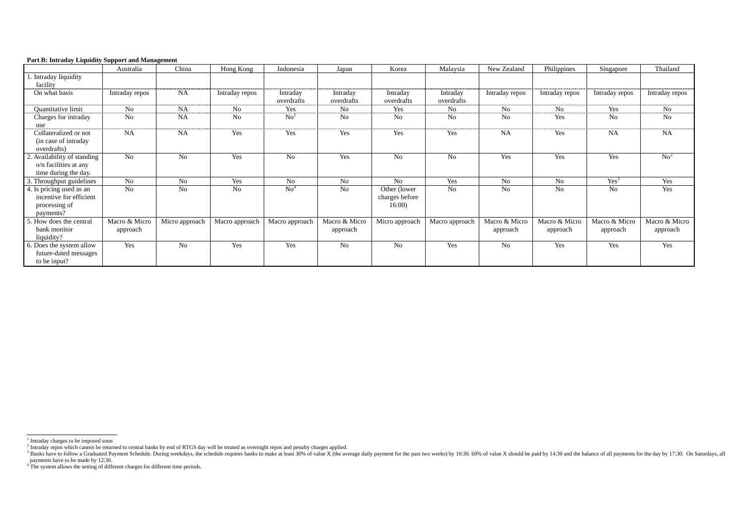<span id="page-1-3"></span><span id="page-1-2"></span><span id="page-1-1"></span><span id="page-1-0"></span>

|  |  | <b>Part B: Intraday Liquidity Support and Management</b> |
|--|--|----------------------------------------------------------|
|  |  |                                                          |

|                                                                                   | Australia                 | China          | Hong Kong      | Indonesia              | Japan                     | Korea                                   | Malaysia               | New Zealand               | Philippines               | Singapore                 | Thailand                  |
|-----------------------------------------------------------------------------------|---------------------------|----------------|----------------|------------------------|---------------------------|-----------------------------------------|------------------------|---------------------------|---------------------------|---------------------------|---------------------------|
| Intraday liquidity<br>facility                                                    |                           |                |                |                        |                           |                                         |                        |                           |                           |                           |                           |
| On what basis                                                                     | Intraday repos            | <b>NA</b>      | Intraday repos | Intraday<br>overdrafts | Intraday<br>overdrafts    | Intraday<br>overdrafts                  | Intraday<br>overdrafts | Intraday repos            | Intraday repos            | Intraday repos            | Intraday repos            |
| Quantitative limit                                                                | No                        | <b>NA</b>      | N <sub>o</sub> | Yes                    | N <sub>o</sub>            | Yes                                     | No                     | No                        | No                        | Yes                       | No                        |
| Charges for intraday<br>use                                                       | N <sub>o</sub>            | <b>NA</b>      | No             | $\mathrm{No}^1$        | No                        | <b>No</b>                               | No                     | No                        | Yes                       | No                        | No                        |
| Collateralized or not<br>(in case of intraday)<br>overdrafts)                     | <b>NA</b>                 | <b>NA</b>      | Yes            | Yes                    | Yes                       | Yes                                     | Yes                    | <b>NA</b>                 | Yes                       | <b>NA</b>                 | <b>NA</b>                 |
| 2. Availability of standing<br>$o/n$ facilities at any<br>time during the day.    | N <sub>o</sub>            | N <sub>o</sub> | Yes            | N <sub>o</sub>         | Yes                       | No                                      | N <sub>o</sub>         | Yes                       | Yes                       | Yes                       | No <sup>2</sup>           |
| 3. Throughput guidelines                                                          | <b>No</b>                 | N <sub>o</sub> | Yes            | No                     | No                        | No                                      | Yes                    | No                        | No                        | Yes <sup>3</sup>          | Yes                       |
| 4. Is pricing used as an<br>incentive for efficient<br>processing of<br>payments? | N <sub>o</sub>            | N <sub>o</sub> | N <sub>o</sub> | $\mathrm{No}^4$        | No                        | Other (lower<br>charges before<br>16:00 | N <sub>o</sub>         | No                        | No                        | N <sub>o</sub>            | Yes                       |
| 5. How does the central<br>bank monitor<br>liquidity?                             | Macro & Micro<br>approach | Micro approach | Macro approach | Macro approach         | Macro & Micro<br>approach | Micro approach                          | Macro approach         | Macro & Micro<br>approach | Macro & Micro<br>approach | Macro & Micro<br>approach | Macro & Micro<br>approach |
| 6. Does the system allow<br>future-dated messages<br>to be input?                 | Yes                       | N <sub>o</sub> | Yes            | Yes                    | No                        | No                                      | Yes                    | N <sub>o</sub>            | Yes                       | Yes                       | Yes                       |

<sup>&</sup>lt;sup>1</sup> Intraday charges to be imposed soon

<sup>&</sup>lt;sup>2</sup> Intraday repos which cannot be returned to central banks by end of RTGS day will be treated as overnight repos and penalty charges applied.

<sup>&</sup>lt;sup>3</sup> Banks have to follow a Graduated Payment Schedule. During weekdays, the schedule requires banks to make at least 30% of value X (the average daily payment for the past two weeks) by 10:30. 60% of value X should be paid payments have to be made by 12:30.

<sup>&</sup>lt;sup>4</sup> The system allows the setting of different charges for different time periods.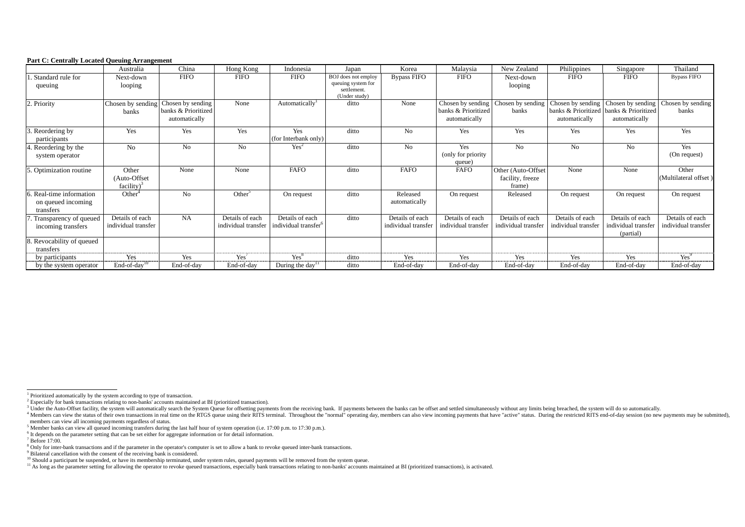#### <span id="page-2-10"></span><span id="page-2-9"></span><span id="page-2-8"></span><span id="page-2-7"></span><span id="page-2-6"></span><span id="page-2-5"></span><span id="page-2-4"></span><span id="page-2-3"></span><span id="page-2-2"></span><span id="page-2-1"></span><span id="page-2-0"></span>**Part C: Centrally Located Queuing Arrangement**

|                                                             | Australia                               | China                                                     | Hong Kong                              | Indonesia                                           | Japan                                                                     | Korea                                  | Malaysia                                                  | New Zealand                                      | Philippines                            | Singapore                                                                     | Thailand                               |
|-------------------------------------------------------------|-----------------------------------------|-----------------------------------------------------------|----------------------------------------|-----------------------------------------------------|---------------------------------------------------------------------------|----------------------------------------|-----------------------------------------------------------|--------------------------------------------------|----------------------------------------|-------------------------------------------------------------------------------|----------------------------------------|
| Standard rule for<br>queuing                                | Next-down<br>looping                    | <b>FIFO</b>                                               | <b>FIFO</b>                            | <b>FIFO</b>                                         | BOJ does not employ<br>queuing system for<br>settlement.<br>(Under study) | <b>Bypass FIFO</b>                     | <b>FIFO</b>                                               | Next-down<br>looping                             | <b>FIFO</b>                            | <b>FIFO</b>                                                                   | <b>Bypass FIFO</b>                     |
| 2. Priority                                                 | Chosen by sending<br>banks              | Chosen by sending<br>banks & Prioritized<br>automatically | None                                   | Automatically <sup>1</sup>                          | ditto                                                                     | None                                   | Chosen by sending<br>banks & Prioritized<br>automatically | Chosen by sending<br>banks                       | Chosen by sending<br>automatically     | Chosen by sending<br>banks & Prioritized banks & Prioritized<br>automatically | Chosen by sending<br>banks             |
| Reordering by<br>participants                               | Yes                                     | Yes                                                       | Yes                                    | Yes<br>(for Interbank only)                         | ditto                                                                     | N <sub>0</sub>                         | Yes                                                       | Yes                                              | Yes                                    | Yes                                                                           | Yes                                    |
| 4. Reordering by the<br>system operator                     | No                                      | N <sub>o</sub>                                            | N <sub>o</sub>                         | Yes <sup>2</sup>                                    | ditto                                                                     | N <sub>o</sub>                         | Yes<br>(only for priority)<br>queue)                      | N <sub>o</sub>                                   | N <sub>o</sub>                         | N <sub>o</sub>                                                                | Yes<br>(On request)                    |
| 5. Optimization routine                                     | Other<br>(Auto-Offset)<br>$facility)^3$ | None                                                      | None                                   | <b>FAFO</b>                                         | ditto                                                                     | <b>FAFO</b>                            | <b>FAFO</b>                                               | Other (Auto-Offset<br>facility, freeze<br>frame) | None                                   | None                                                                          | Other<br>(Multilateral offset)         |
| 6. Real-time information<br>on queued incoming<br>transfers | Other <sup>4</sup>                      | N <sub>o</sub>                                            | Other <sup>5</sup>                     | On request                                          | ditto                                                                     | Released<br>automatically              | On request                                                | Released                                         | On request                             | On request                                                                    | On request                             |
| . Transparency of queued<br>incoming transfers              | Details of each<br>individual transfer  | <b>NA</b>                                                 | Details of each<br>individual transfer | Details of each<br>individual transfer <sup>6</sup> | ditto                                                                     | Details of each<br>individual transfer | Details of each<br>individual transfer                    | Details of each<br>individual transfer           | Details of each<br>individual transfer | Details of each<br>individual transfer<br>(partial)                           | Details of each<br>individual transfer |
| 8. Revocability of queued<br>transfers                      |                                         |                                                           |                                        |                                                     |                                                                           |                                        |                                                           |                                                  |                                        |                                                                               |                                        |
| by participants                                             | Yes                                     | Yes                                                       | Yes                                    | $Yes^8$                                             | ditto                                                                     | Yes                                    | Yes                                                       | Yes                                              | Yes                                    | Yes                                                                           | Yes <sup>9</sup>                       |
| by the system operator                                      | $End-of-day10$                          | End-of-day                                                | End-of-day                             | During the day <sup>11</sup>                        | ditto                                                                     | End-of-day                             | End-of-day                                                | End-of-day                                       | End-of-day                             | End-of-day                                                                    | End-of-day                             |

<sup>&</sup>lt;sup>3</sup> Under the Auto-Offset facility, the system will automatically search the System Queue for offsetting payments from the receiving bank. If payments between the banks can be offset and settled simultaneously without any <sup>4</sup> Members can view the status of their own transactions in real time on the RTGS queue using their RITS terminal. Throughout the "normal" operating day, members can also view incoming payments that have "active" status. members can view all incoming payments regardless of status.

<sup>&</sup>lt;sup>5</sup> Member banks can view all queued incoming transfers during the last half hour of system operation (i.e. 17:00 p.m. to 17:30 p.m.).

<sup>&</sup>lt;sup>6</sup> It depends on the parameter setting that can be set either for aggregate information or for detail information.

 $7$  Before 17:00.

<sup>&</sup>lt;sup>8</sup> Only for inter-bank transactions and if the parameter in the operator's computer is set to allow a bank to revoke queued inter-bank transactions.

 $9$  Bilateral cancellation with the consent of the receiving bank is considered.

 $10$  Should a participant be suspended, or have its membership terminated, under system rules, queued payments will be removed from the system queue.

<sup>&</sup>lt;sup>11</sup> As long as the parameter setting for allowing the operator to revoke queued transactions, especially bank transactions relating to non-banks' accounts maintained at BI (prioritized transactions), is activated.

<sup>1</sup> Prioritized automatically by the system according to type of transaction.

<sup>&</sup>lt;sup>2</sup> Especially for bank transactions relating to non-banks' accounts maintained at BI (prioritized transaction).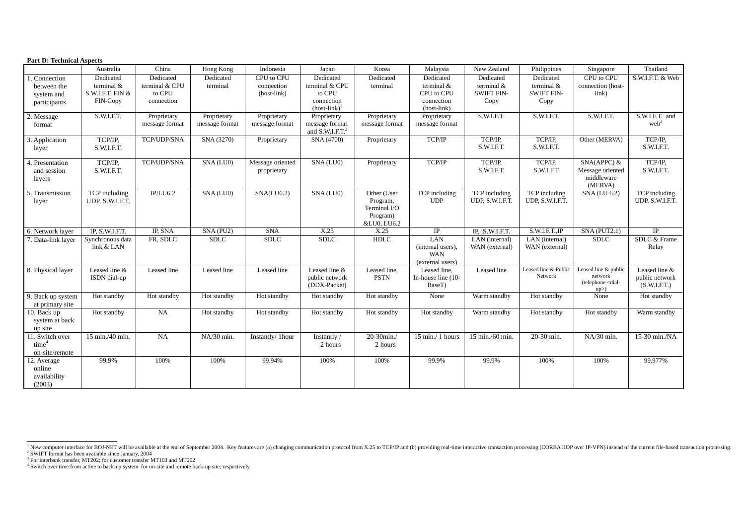### <span id="page-3-3"></span><span id="page-3-2"></span><span id="page-3-1"></span><span id="page-3-0"></span>**Part D: Technical Aspects**

|                                                           | Australia                                                 | China                                               | Hong Kong                     | Indonesia                               | Japan                                                                    | Korea                                                              | Malaysia                                                              | New Zealand                                          | Philippines                                          | Singapore                                                                                            | Thailand                                        |
|-----------------------------------------------------------|-----------------------------------------------------------|-----------------------------------------------------|-------------------------------|-----------------------------------------|--------------------------------------------------------------------------|--------------------------------------------------------------------|-----------------------------------------------------------------------|------------------------------------------------------|------------------------------------------------------|------------------------------------------------------------------------------------------------------|-------------------------------------------------|
| . Connection<br>between the<br>system and<br>participants | Dedicated<br>terminal &<br>S.W.I.F.T. FIN $&$<br>FIN-Copy | Dedicated<br>terminal & CPU<br>to CPU<br>connection | Dedicated<br>terminal         | CPU to CPU<br>connection<br>(host-link) | Dedicated<br>terminal & CPU<br>to CPU<br>connection<br>$(host-link)^{1}$ | Dedicated<br>terminal                                              | Dedicated<br>terminal $\&$<br>CPU to CPU<br>connection<br>(host-link) | Dedicated<br>terminal &<br><b>SWIFT FIN-</b><br>Copy | Dedicated<br>terminal &<br><b>SWIFT FIN-</b><br>Copy | CPU to CPU<br>connection (host-<br>link)                                                             | S.W.I.F.T. & Web                                |
| 2. Message<br>format                                      | S.W.I.F.T.                                                | Proprietary<br>message format                       | Proprietary<br>message format | Proprietary<br>message format           | Proprietary<br>message format<br>and $S.W.I.F.T.2$                       | Proprietary<br>message format                                      | Proprietary<br>message format                                         | S.W.I.F.T.                                           | S.W.I.F.T.                                           | S.W.I.F.T.                                                                                           | S.W.I.F.T. and<br>web <sup>3</sup>              |
| 3. Application<br>layer                                   | TCP/IP,<br>S.W.I.F.T.                                     | TCP/UDP/SNA                                         | SNA (3270)                    | Proprietary                             | SNA (4700)                                                               | Proprietary                                                        | TCP/IP                                                                | TCP/IP,<br>S.W.I.F.T.                                | TCP/IP,<br>S.W.I.F.T.                                | Other (MERVA)                                                                                        | TCP/IP,<br>S.W.I.F.T.                           |
| 4. Presentation<br>and session<br>layers                  | TCP/IP,<br>S.W.I.F.T.                                     | TCP/UDP/SNA                                         | SNA (LU0)                     | Message oriented<br>proprietary         | SNA (LU0)                                                                | Proprietary                                                        | TCP/IP                                                                | TCP/IP,<br>S.W.I.F.T.                                | TCP/IP,<br>S.W.I.F.T                                 | $SNA(APPC)$ &<br>Message oriented<br>middleware<br>(MERVA)                                           | TCP/IP,<br>S.W.I.F.T.                           |
| 5. Transmission<br>layer                                  | TCP including<br>UDP, S.W.I.F.T.                          | IP/LU6.2                                            | SNA (LU0)                     | SNA(LU6.2)                              | SNA (LU0)                                                                | Other (User<br>Program,<br>Terminal I/O<br>Program)<br>&LU0, LU6.2 | TCP including<br><b>UDP</b>                                           | TCP including<br>UDP, S.W.I.F.T.                     | TCP including<br>UDP, S.W.I.F.T.                     | <b>SNA</b> (LU 6.2)                                                                                  | TCP including<br>UDP, S.W.I.F.T.                |
| 6. Network layer                                          | IP, S.W.I.F.T.                                            | IP, SNA                                             | SNA (PU2)                     | <b>SNA</b>                              | X.25                                                                     | $\overline{X.25}$                                                  | $\overline{IP}$                                                       | IP, S.W.I.F.T.                                       | S.W.I.F.T., IP                                       | SNA (PUT2.1)                                                                                         | $\overline{IP}$                                 |
| 7. Data-link layer                                        | Synchronous data<br>link & LAN                            | FR, SDLC                                            | <b>SDLC</b>                   | <b>SDLC</b>                             | <b>SDLC</b>                                                              | <b>HDLC</b>                                                        | <b>LAN</b><br>(internal users),<br><b>WAN</b><br>(external users)     | $\overline{LAN}$ (internal)<br>WAN (external)        | LAN (internal)<br>WAN (external)                     | <b>SDLC</b>                                                                                          | SDLC & Frame<br>Relay                           |
| 8. Physical layer                                         | Leased line &<br>ISDN dial-up                             | Leased line                                         | Leased line                   | Leased line                             | Leased line &<br>public network<br>(DDX-Packet)                          | Leased line,<br><b>PSTN</b>                                        | Leased line,<br>In-house line (10-<br>BaseT)                          | Leased line                                          | Leased line & Public<br>Network                      | Leased line & public<br>network<br>(telephone <dial-<br><math>up</math><math>&gt;</math>)</dial-<br> | Leased line &<br>public network<br>(S.W.I.F.T.) |
| 9. Back up system<br>at primary site                      | Hot standby                                               | Hot standby                                         | Hot standby                   | Hot standby                             | Hot standby                                                              | Hot standby                                                        | None                                                                  | Warm standby                                         | Hot standby                                          | None                                                                                                 | Hot standby                                     |
| 10. Back up<br>system at back<br>up site                  | Hot standby                                               | <b>NA</b>                                           | Hot standby                   | Hot standby                             | Hot standby                                                              | Hot standby                                                        | Hot standby                                                           | Warm standby                                         | Hot standby                                          | Hot standby                                                                                          | Warm standby                                    |
| 11. Switch over<br>time <sup>4</sup><br>on-site/remote    | 15 min./40 min.                                           | <b>NA</b>                                           | NA/30 min.                    | Instantly/ 1hour                        | Instantly /<br>2 hours                                                   | 20-30min./<br>2 hours                                              | 15 min./ 1 hours                                                      | 15 min./60 min.                                      | 20-30 min.                                           | NA/30 min.                                                                                           | 15-30 min./NA                                   |
| 12. Average<br>online<br>availability<br>(2003)           | 99.9%                                                     | 100%                                                | 100%                          | 99.94%                                  | 100%                                                                     | 100%                                                               | 99.9%                                                                 | 99.9%                                                | 100%                                                 | 100%                                                                                                 | 99.977%                                         |

New computer interface for BOJ-NET will be available at the end of September 2004. Key features are (a) changing communication protocol from X.25 to TCP/IP and (b) providing real-time interactive transaction processing (CO

 $2^2$  SWIFT format has been available since January, 2004

 $3$  For interbank transfer, MT202; for customer transfer MT103 and MT202

<sup>&</sup>lt;sup>4</sup> Switch over time from active to back-up system for on-site and remote back-up site, respectively